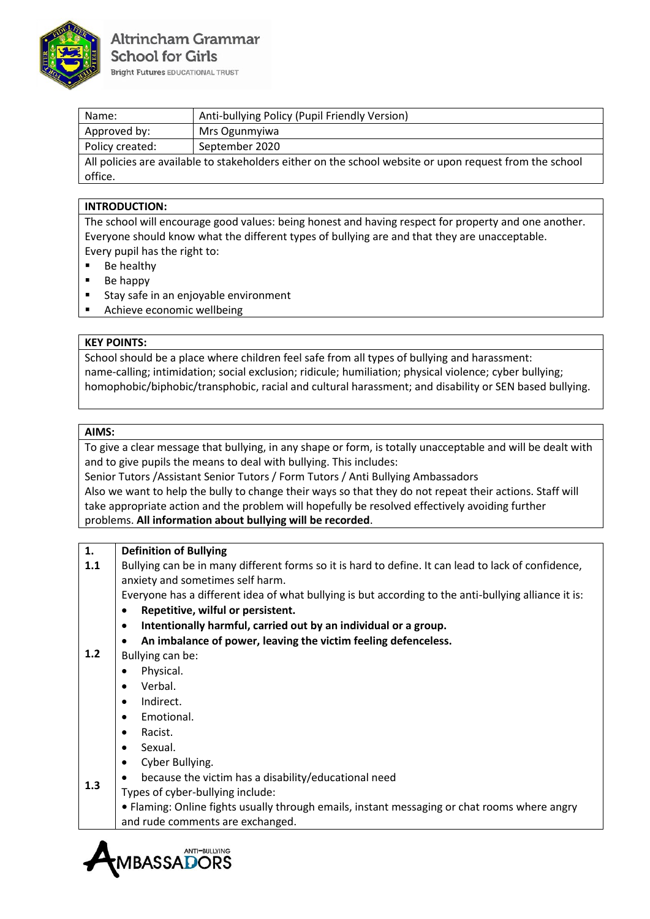

| Name:                                                                                                   | Anti-bullying Policy (Pupil Friendly Version) |  |
|---------------------------------------------------------------------------------------------------------|-----------------------------------------------|--|
| Approved by:                                                                                            | Mrs Ogunmyiwa                                 |  |
| Policy created:                                                                                         | September 2020                                |  |
| All policies are available to stakeholders either on the school website or upon request from the school |                                               |  |
| office.                                                                                                 |                                               |  |

## **INTRODUCTION:**

The school will encourage good values: being honest and having respect for property and one another. Everyone should know what the different types of bullying are and that they are unacceptable. Every pupil has the right to:

- Be healthy
- Be happy
- Stay safe in an enjoyable environment
- Achieve economic wellbeing

### **KEY POINTS:**

School should be a place where children feel safe from all types of bullying and harassment: name-calling; intimidation; social exclusion; ridicule; humiliation; physical violence; cyber bullying; homophobic/biphobic/transphobic, racial and cultural harassment; and disability or SEN based bullying.

#### **AIMS:**

To give a clear message that bullying, in any shape or form, is totally unacceptable and will be dealt with and to give pupils the means to deal with bullying. This includes:

Senior Tutors /Assistant Senior Tutors / Form Tutors / Anti Bullying Ambassadors

Also we want to help the bully to change their ways so that they do not repeat their actions. Staff will take appropriate action and the problem will hopefully be resolved effectively avoiding further problems. **All information about bullying will be recorded**.

| 1.  | <b>Definition of Bullying</b>                                                                        |
|-----|------------------------------------------------------------------------------------------------------|
| 1.1 | Bullying can be in many different forms so it is hard to define. It can lead to lack of confidence,  |
|     | anxiety and sometimes self harm.                                                                     |
|     | Everyone has a different idea of what bullying is but according to the anti-bullying alliance it is: |
|     | Repetitive, wilful or persistent.                                                                    |
|     | Intentionally harmful, carried out by an individual or a group.                                      |
|     | An imbalance of power, leaving the victim feeling defenceless.                                       |
| 1.2 | Bullying can be:                                                                                     |
|     | Physical.                                                                                            |
|     | Verbal.<br>$\bullet$                                                                                 |
|     | Indirect.                                                                                            |
|     | Emotional.<br>$\bullet$                                                                              |
|     | Racist.<br>$\bullet$                                                                                 |
|     | Sexual.<br>$\bullet$                                                                                 |
|     | Cyber Bullying.                                                                                      |
|     | because the victim has a disability/educational need                                                 |
| 1.3 | Types of cyber-bullying include:                                                                     |
|     | • Flaming: Online fights usually through emails, instant messaging or chat rooms where angry         |
|     | and rude comments are exchanged.                                                                     |
|     |                                                                                                      |

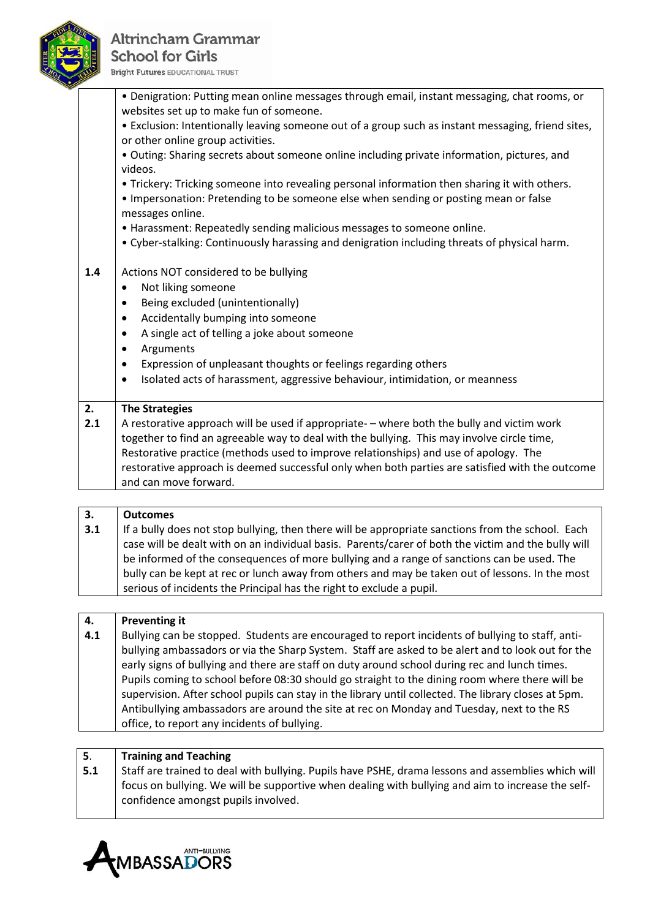

# **Altrincham Grammar School for Girls Bright Futures EDUCATIONAL TRUST**

|     | • Denigration: Putting mean online messages through email, instant messaging, chat rooms, or<br>websites set up to make fun of someone. |
|-----|-----------------------------------------------------------------------------------------------------------------------------------------|
|     | • Exclusion: Intentionally leaving someone out of a group such as instant messaging, friend sites,<br>or other online group activities. |
|     | . Outing: Sharing secrets about someone online including private information, pictures, and<br>videos.                                  |
|     | • Trickery: Tricking someone into revealing personal information then sharing it with others.                                           |
|     | . Impersonation: Pretending to be someone else when sending or posting mean or false<br>messages online.                                |
|     | • Harassment: Repeatedly sending malicious messages to someone online.                                                                  |
|     | . Cyber-stalking: Continuously harassing and denigration including threats of physical harm.                                            |
| 1.4 | Actions NOT considered to be bullying                                                                                                   |
|     | Not liking someone<br>٠                                                                                                                 |
|     | Being excluded (unintentionally)                                                                                                        |
|     | Accidentally bumping into someone<br>$\bullet$                                                                                          |
|     | A single act of telling a joke about someone<br>$\bullet$                                                                               |
|     | Arguments<br>$\bullet$                                                                                                                  |
|     | Expression of unpleasant thoughts or feelings regarding others<br>$\bullet$                                                             |
|     | Isolated acts of harassment, aggressive behaviour, intimidation, or meanness<br>$\bullet$                                               |
| 2.  | <b>The Strategies</b>                                                                                                                   |
| 2.1 | A restorative approach will be used if appropriate- - where both the bully and victim work                                              |
|     | together to find an agreeable way to deal with the bullying. This may involve circle time,                                              |
|     | Restorative practice (methods used to improve relationships) and use of apology. The                                                    |
|     | restorative approach is deemed successful only when both parties are satisfied with the outcome<br>and can move forward.                |
|     |                                                                                                                                         |

| 3.                                                                                              | <b>Outcomes</b>                                                                                     |
|-------------------------------------------------------------------------------------------------|-----------------------------------------------------------------------------------------------------|
| 3.1                                                                                             | If a bully does not stop bullying, then there will be appropriate sanctions from the school. Each   |
|                                                                                                 | case will be dealt with on an individual basis. Parents/carer of both the victim and the bully will |
|                                                                                                 | be informed of the consequences of more bullying and a range of sanctions can be used. The          |
| bully can be kept at rec or lunch away from others and may be taken out of lessons. In the most |                                                                                                     |
|                                                                                                 | serious of incidents the Principal has the right to exclude a pupil.                                |

| 4.  | Preventing it                                                                                        |  |
|-----|------------------------------------------------------------------------------------------------------|--|
| 4.1 | Bullying can be stopped. Students are encouraged to report incidents of bullying to staff, anti-     |  |
|     | bullying ambassadors or via the Sharp System. Staff are asked to be alert and to look out for the    |  |
|     | early signs of bullying and there are staff on duty around school during rec and lunch times.        |  |
|     | Pupils coming to school before 08:30 should go straight to the dining room where there will be       |  |
|     | supervision. After school pupils can stay in the library until collected. The library closes at 5pm. |  |
|     | Antibullying ambassadors are around the site at rec on Monday and Tuesday, next to the RS            |  |
|     | office, to report any incidents of bullying.                                                         |  |
|     |                                                                                                      |  |

| 5.  | Training and Teaching                                                                              |  |
|-----|----------------------------------------------------------------------------------------------------|--|
| 5.1 | Staff are trained to deal with bullying. Pupils have PSHE, drama lessons and assemblies which will |  |
|     | focus on bullying. We will be supportive when dealing with bullying and aim to increase the self-  |  |
|     | confidence amongst pupils involved.                                                                |  |
|     |                                                                                                    |  |